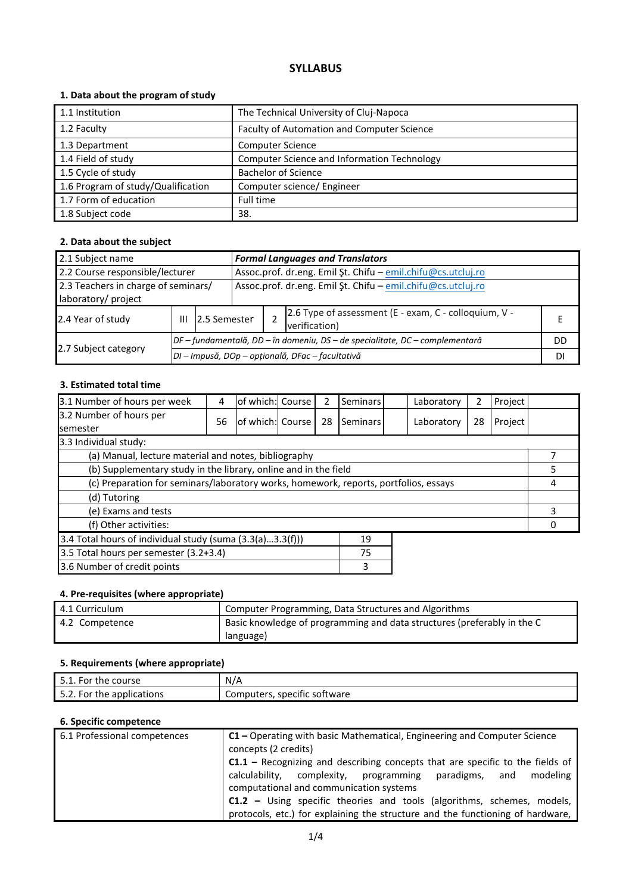# **SYLLABUS**

# **1. Data about the program of study**

| 1.1 Institution                    | The Technical University of Cluj-Napoca     |
|------------------------------------|---------------------------------------------|
|                                    |                                             |
| 1.2 Faculty                        | Faculty of Automation and Computer Science  |
| 1.3 Department                     | <b>Computer Science</b>                     |
| 1.4 Field of study                 | Computer Science and Information Technology |
| 1.5 Cycle of study                 | <b>Bachelor of Science</b>                  |
| 1.6 Program of study/Qualification | Computer science/ Engineer                  |
| 1.7 Form of education              | Full time                                   |
| 1.8 Subject code                   | 38.                                         |

## **2. Data about the subject**

| 2.1 Subject name                                                                                                           |   |                                                                              |  | <b>Formal Languages and Translators</b>                      |                                                                        |  |  |  |
|----------------------------------------------------------------------------------------------------------------------------|---|------------------------------------------------------------------------------|--|--------------------------------------------------------------|------------------------------------------------------------------------|--|--|--|
| 2.2 Course responsible/lecturer                                                                                            |   |                                                                              |  | Assoc.prof. dr.eng. Emil Şt. Chifu - emil.chifu@cs.utcluj.ro |                                                                        |  |  |  |
| 2.3 Teachers in charge of seminars/<br>Assoc.prof. dr.eng. Emil Şt. Chifu - emil.chifu@cs.utcluj.ro<br>laboratory/ project |   |                                                                              |  |                                                              |                                                                        |  |  |  |
| 2.4 Year of study                                                                                                          | Ш | 2.5 Semester                                                                 |  |                                                              | 2.6 Type of assessment (E - exam, C - colloquium, V -<br>verification) |  |  |  |
|                                                                                                                            |   | DF – fundamentală, DD – în domeniu, DS – de specialitate, DC – complementară |  |                                                              | DD                                                                     |  |  |  |
| 2.7 Subject category                                                                                                       |   | DI - Impusă, DOp - opțională, DFac - facultativă                             |  |                                                              |                                                                        |  |  |  |

### **3. Estimated total time**

| 3.1 Number of hours per week                                                         | 4  | of which: Course |  | 2  | Seminars |  | Laboratory | 2  | Project |  |
|--------------------------------------------------------------------------------------|----|------------------|--|----|----------|--|------------|----|---------|--|
| 3.2 Number of hours per<br><b>semester</b>                                           | 56 | of which: Course |  | 28 | Seminars |  | Laboratory | 28 | Project |  |
| 3.3 Individual study:                                                                |    |                  |  |    |          |  |            |    |         |  |
| (a) Manual, lecture material and notes, bibliography                                 |    |                  |  |    |          |  |            |    |         |  |
| (b) Supplementary study in the library, online and in the field                      |    |                  |  |    |          |  | 5          |    |         |  |
| (c) Preparation for seminars/laboratory works, homework, reports, portfolios, essays |    |                  |  |    |          |  | 4          |    |         |  |
| (d) Tutoring                                                                         |    |                  |  |    |          |  |            |    |         |  |
| (e) Exams and tests                                                                  |    |                  |  |    |          |  | 3          |    |         |  |
| (f) Other activities:                                                                |    |                  |  |    |          |  |            |    |         |  |
| 3.4 Total hours of individual study (suma (3.3(a)3.3(f)))<br>19                      |    |                  |  |    |          |  |            |    |         |  |
| 3.5 Total hours per semester (3.2+3.4)<br>75                                         |    |                  |  |    |          |  |            |    |         |  |
| 3.6 Number of credit points                                                          |    |                  |  |    | 3        |  |            |    |         |  |

# **4. Pre-requisites (where appropriate)**

| 4.1 Curriculum | Computer Programming, Data Structures and Algorithms                    |
|----------------|-------------------------------------------------------------------------|
| 4.2 Competence | Basic knowledge of programming and data structures (preferably in the C |
|                | language)                                                               |

# **5. Requirements (where appropriate)**

| course<br>For<br>the<br><u>.</u>     | N/A                               |
|--------------------------------------|-----------------------------------|
| the applications *<br>For<br><u></u> | Computers,<br>, specific software |

### **6. Specific competence**

| 6.1 Professional competences | $C1$ – Operating with basic Mathematical, Engineering and Computer Science<br>concepts (2 credits) |  |  |  |  |
|------------------------------|----------------------------------------------------------------------------------------------------|--|--|--|--|
|                              | $C1.1$ – Recognizing and describing concepts that are specific to the fields of                    |  |  |  |  |
|                              | calculability, complexity, programming paradigms,<br>modeling<br>and                               |  |  |  |  |
|                              | computational and communication systems                                                            |  |  |  |  |
|                              | <b>C1.2</b> – Using specific theories and tools (algorithms, schemes, models,                      |  |  |  |  |
|                              | protocols, etc.) for explaining the structure and the functioning of hardware,                     |  |  |  |  |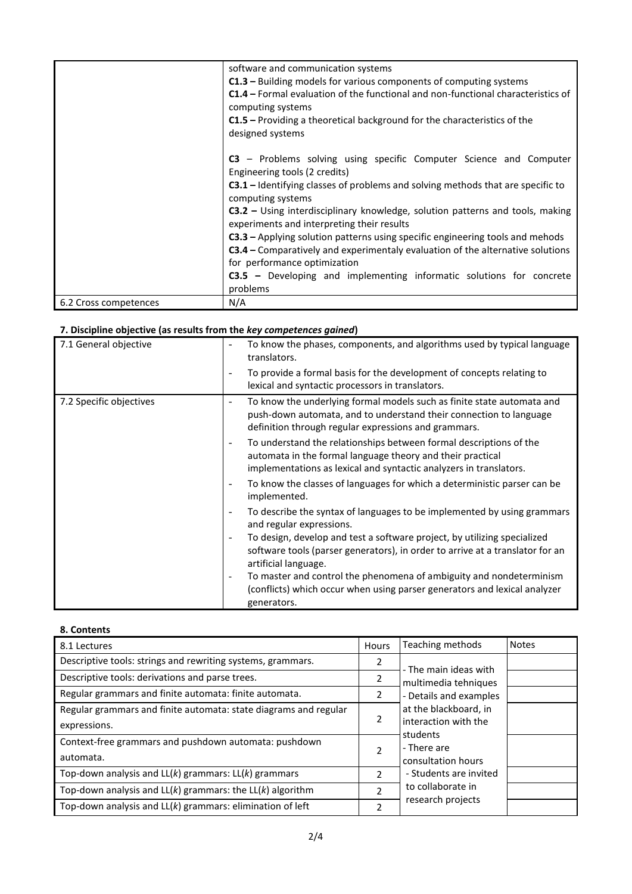|                       | software and communication systems                                                                           |
|-----------------------|--------------------------------------------------------------------------------------------------------------|
|                       | $C1.3$ – Building models for various components of computing systems                                         |
|                       | <b>C1.4</b> – Formal evaluation of the functional and non-functional characteristics of<br>computing systems |
|                       | $C1.5$ – Providing a theoretical background for the characteristics of the                                   |
|                       | designed systems                                                                                             |
|                       | C3 – Problems solving using specific Computer Science and Computer                                           |
|                       | Engineering tools (2 credits)                                                                                |
|                       | $C3.1$ – Identifying classes of problems and solving methods that are specific to                            |
|                       | computing systems                                                                                            |
|                       | <b>C3.2</b> – Using interdisciplinary knowledge, solution patterns and tools, making                         |
|                       | experiments and interpreting their results                                                                   |
|                       | C3.3 - Applying solution patterns using specific engineering tools and mehods                                |
|                       | <b>C3.4</b> – Comparatively and experimentaly evaluation of the alternative solutions                        |
|                       | for performance optimization                                                                                 |
|                       | <b>C3.5</b> – Developing and implementing informatic solutions for concrete                                  |
|                       | problems                                                                                                     |
| 6.2 Cross competences | N/A                                                                                                          |

# **7. Discipline objective (as results from the** *key competences gained***)**

| 7.1 General objective   | To know the phases, components, and algorithms used by typical language<br>$\qquad \qquad \blacksquare$<br>translators.                                                                                |
|-------------------------|--------------------------------------------------------------------------------------------------------------------------------------------------------------------------------------------------------|
|                         | To provide a formal basis for the development of concepts relating to<br>lexical and syntactic processors in translators.                                                                              |
| 7.2 Specific objectives | To know the underlying formal models such as finite state automata and<br>push-down automata, and to understand their connection to language<br>definition through regular expressions and grammars.   |
|                         | To understand the relationships between formal descriptions of the<br>automata in the formal language theory and their practical<br>implementations as lexical and syntactic analyzers in translators. |
|                         | To know the classes of languages for which a deterministic parser can be<br>$\overline{\phantom{a}}$<br>implemented.                                                                                   |
|                         | To describe the syntax of languages to be implemented by using grammars<br>$\overline{\phantom{a}}$<br>and regular expressions.                                                                        |
|                         | To design, develop and test a software project, by utilizing specialized<br>software tools (parser generators), in order to arrive at a translator for an<br>artificial language.                      |
|                         | To master and control the phenomena of ambiguity and nondeterminism<br>(conflicts) which occur when using parser generators and lexical analyzer<br>generators.                                        |

### **8. Contents**

| 8.1 Lectures                                                                     | <b>Hours</b>   | Teaching methods                               | <b>Notes</b> |
|----------------------------------------------------------------------------------|----------------|------------------------------------------------|--------------|
| Descriptive tools: strings and rewriting systems, grammars.                      | 2              | - The main ideas with                          |              |
| Descriptive tools: derivations and parse trees.                                  | 2              | multimedia tehniques                           |              |
| Regular grammars and finite automata: finite automata.                           | 2              | - Details and examples                         |              |
| Regular grammars and finite automata: state diagrams and regular<br>expressions. | 2              | at the blackboard, in<br>linteraction with the |              |
| Context-free grammars and pushdown automata: pushdown<br>automata.               | 2              | students<br>- There are<br>consultation hours  |              |
| Top-down analysis and $LL(k)$ grammars: $LL(k)$ grammars                         | $\mathcal{P}$  | - Students are invited                         |              |
| Top-down analysis and $LL(k)$ grammars: the $LL(k)$ algorithm                    | $\mathfrak{p}$ | to collaborate in                              |              |
| Top-down analysis and LL(k) grammars: elimination of left                        | $\overline{2}$ | research projects                              |              |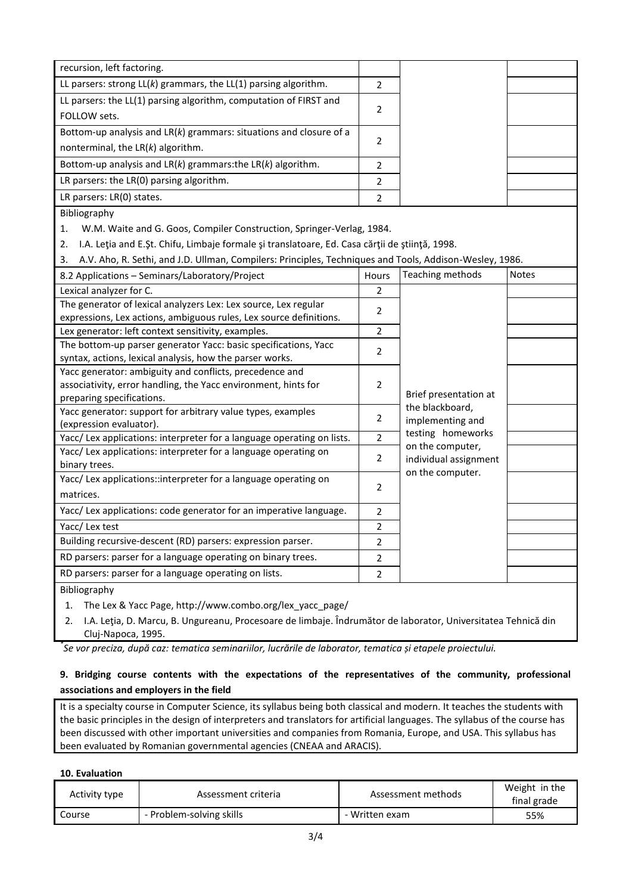| recursion, left factoring.                                                                                                  |                |                                       |              |
|-----------------------------------------------------------------------------------------------------------------------------|----------------|---------------------------------------|--------------|
| LL parsers: strong $LL(k)$ grammars, the $LL(1)$ parsing algorithm.                                                         | $\overline{2}$ |                                       |              |
| LL parsers: the LL(1) parsing algorithm, computation of FIRST and                                                           | 2              |                                       |              |
| FOLLOW sets.                                                                                                                |                |                                       |              |
| Bottom-up analysis and $LR(k)$ grammars: situations and closure of a                                                        |                |                                       |              |
| nonterminal, the $LR(k)$ algorithm.                                                                                         | $\overline{2}$ |                                       |              |
| Bottom-up analysis and $LR(k)$ grammars: the $LR(k)$ algorithm.                                                             | $\overline{2}$ |                                       |              |
| LR parsers: the LR(0) parsing algorithm.                                                                                    | $\overline{2}$ |                                       |              |
| LR parsers: LR(0) states.                                                                                                   | 2              |                                       |              |
| Bibliography                                                                                                                |                |                                       |              |
| W.M. Waite and G. Goos, Compiler Construction, Springer-Verlag, 1984.<br>1.                                                 |                |                                       |              |
| I.A. Leția and E.Șt. Chifu, Limbaje formale și translatoare, Ed. Casa cărții de știință, 1998.<br>2.                        |                |                                       |              |
| A.V. Aho, R. Sethi, and J.D. Ullman, Compilers: Principles, Techniques and Tools, Addison-Wesley, 1986.<br>3.               |                |                                       |              |
| 8.2 Applications - Seminars/Laboratory/Project                                                                              | Hours          | Teaching methods                      | <b>Notes</b> |
| Lexical analyzer for C.                                                                                                     | $\overline{2}$ |                                       |              |
| The generator of lexical analyzers Lex: Lex source, Lex regular                                                             | 2              |                                       |              |
| expressions, Lex actions, ambiguous rules, Lex source definitions.                                                          |                |                                       |              |
| Lex generator: left context sensitivity, examples.                                                                          | $\overline{2}$ |                                       |              |
| The bottom-up parser generator Yacc: basic specifications, Yacc<br>syntax, actions, lexical analysis, how the parser works. | 2              |                                       |              |
| Yacc generator: ambiguity and conflicts, precedence and                                                                     |                |                                       |              |
| associativity, error handling, the Yacc environment, hints for                                                              | 2              |                                       |              |
| preparing specifications.                                                                                                   |                | Brief presentation at                 |              |
| Yacc generator: support for arbitrary value types, examples                                                                 |                | the blackboard,                       |              |
| (expression evaluator).                                                                                                     | 2              | implementing and                      |              |
| Yacc/ Lex applications: interpreter for a language operating on lists.                                                      | $\overline{2}$ | testing homeworks<br>on the computer, |              |
| Yacc/ Lex applications: interpreter for a language operating on                                                             | 2              | individual assignment                 |              |
| binary trees.                                                                                                               |                | on the computer.                      |              |
| Yacc/Lex applications::interpreter for a language operating on                                                              | 2              |                                       |              |
| matrices.                                                                                                                   |                |                                       |              |
| Yacc/ Lex applications: code generator for an imperative language.                                                          | 2              |                                       |              |
| Yacc/ Lex test                                                                                                              | 2              |                                       |              |
| Building recursive-descent (RD) parsers: expression parser.                                                                 | 2              |                                       |              |
| RD parsers: parser for a language operating on binary trees.                                                                | 2              |                                       |              |
| RD parsers: parser for a language operating on lists.                                                                       | 2              |                                       |              |
| Bibliography                                                                                                                |                |                                       |              |
| The Lay 8 Vess Dags, letter University samples and Usy years                                                                |                |                                       |              |

1. The Lex & Yacc Page, http://www.combo.org/lex\_yacc\_page/

2. I.A. Leţia, D. Marcu, B. Ungureanu, Procesoare de limbaje. Îndrumător de laborator, Universitatea Tehnică din Cluj-Napoca, 1995.

*\* Se vor preciza, după caz: tematica seminariilor, lucrările de laborator, tematica și etapele proiectului.*

# **9. Bridging course contents with the expectations of the representatives of the community, professional associations and employers in the field**

It is a specialty course in Computer Science, its syllabus being both classical and modern. It teaches the students with the basic principles in the design of interpreters and translators for artificial languages. The syllabus of the course has been discussed with other important universities and companies from Romania, Europe, and USA. This syllabus has been evaluated by Romanian governmental agencies (CNEAA and ARACIS).

#### **10. Evaluation**

| Activity type | Assessment criteria      | Assessment methods | Weight in the<br>final grade |
|---------------|--------------------------|--------------------|------------------------------|
| Course        | - Problem-solving skills | Written exam       | 55%                          |